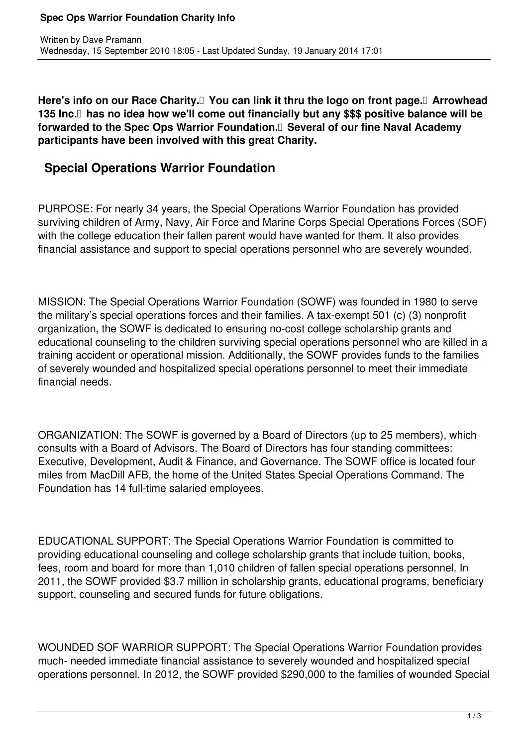Here's info on our Race Charity. **I** You can link it thru the logo on front page. Arrowhead 135 Inc.<sup>[]</sup> has no idea how we'll come out financially but any \$\$\$ positive balance will be **forwarded to the Spec Ops Warrior Foundation. Several of our fine Naval Academy participants have been involved with this great Charity.** 

## **Special Operations Warrior Foundation**

PURPOSE: For nearly 34 years, the Special Operations Warrior Foundation has provided surviving children of Army, Navy, Air Force and Marine Corps Special Operations Forces (SOF) with the college education their fallen parent would have wanted for them. It also provides financial assistance and support to special operations personnel who are severely wounded.

MISSION: The Special Operations Warrior Foundation (SOWF) was founded in 1980 to serve the military's special operations forces and their families. A tax-exempt 501 (c) (3) nonprofit organization, the SOWF is dedicated to ensuring no-cost college scholarship grants and educational counseling to the children surviving special operations personnel who are killed in a training accident or operational mission. Additionally, the SOWF provides funds to the families of severely wounded and hospitalized special operations personnel to meet their immediate financial needs.

ORGANIZATION: The SOWF is governed by a Board of Directors (up to 25 members), which consults with a Board of Advisors. The Board of Directors has four standing committees: Executive, Development, Audit & Finance, and Governance. The SOWF office is located four miles from MacDill AFB, the home of the United States Special Operations Command. The Foundation has 14 full-time salaried employees.

EDUCATIONAL SUPPORT: The Special Operations Warrior Foundation is committed to providing educational counseling and college scholarship grants that include tuition, books, fees, room and board for more than 1,010 children of fallen special operations personnel. In 2011, the SOWF provided \$3.7 million in scholarship grants, educational programs, beneficiary support, counseling and secured funds for future obligations.

WOUNDED SOF WARRIOR SUPPORT: The Special Operations Warrior Foundation provides much- needed immediate financial assistance to severely wounded and hospitalized special operations personnel. In 2012, the SOWF provided \$290,000 to the families of wounded Special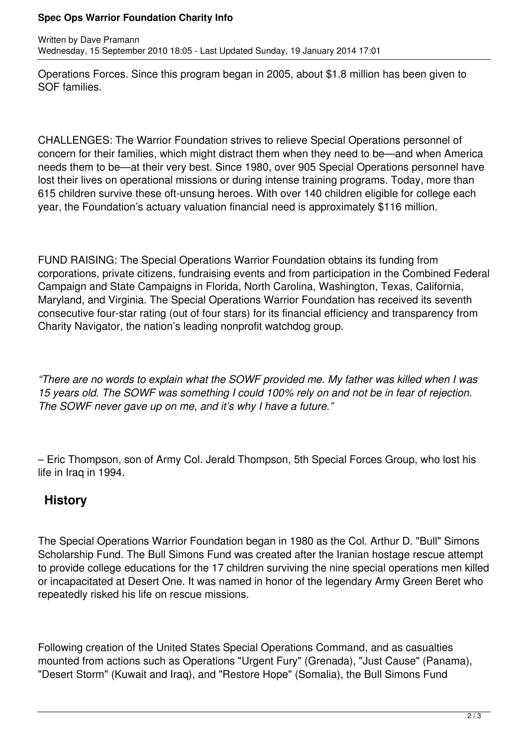## **Spec Ops Warrior Foundation Charity Info**

Operations Forces. Since this program began in 2005, about \$1.8 million has been given to SOF families.

CHALLENGES: The Warrior Foundation strives to relieve Special Operations personnel of concern for their families, which might distract them when they need to be—and when America needs them to be—at their very best. Since 1980, over 905 Special Operations personnel have lost their lives on operational missions or during intense training programs. Today, more than 615 children survive these oft-unsung heroes. With over 140 children eligible for college each year, the Foundation's actuary valuation financial need is approximately \$116 million.

FUND RAISING: The Special Operations Warrior Foundation obtains its funding from corporations, private citizens, fundraising events and from participation in the Combined Federal Campaign and State Campaigns in Florida, North Carolina, Washington, Texas, California, Maryland, and Virginia. The Special Operations Warrior Foundation has received its seventh consecutive four-star rating (out of four stars) for its financial efficiency and transparency from Charity Navigator, the nation's leading nonprofit watchdog group.

*"There are no words to explain what the SOWF provided me. My father was killed when I was 15 years old. The SOWF was something I could 100% rely on and not be in fear of rejection. The SOWF never gave up on me, and it's why I have a future."*

– Eric Thompson, son of Army Col. Jerald Thompson, 5th Special Forces Group, who lost his life in Iraq in 1994.

## **History**

The Special Operations Warrior Foundation began in 1980 as the Col. Arthur D. "Bull" Simons Scholarship Fund. The Bull Simons Fund was created after the Iranian hostage rescue attempt to provide college educations for the 17 children surviving the nine special operations men killed or incapacitated at Desert One. It was named in honor of the legendary Army Green Beret who repeatedly risked his life on rescue missions.

Following creation of the United States Special Operations Command, and as casualties mounted from actions such as Operations "Urgent Fury" (Grenada), "Just Cause" (Panama), "Desert Storm" (Kuwait and Iraq), and "Restore Hope" (Somalia), the Bull Simons Fund